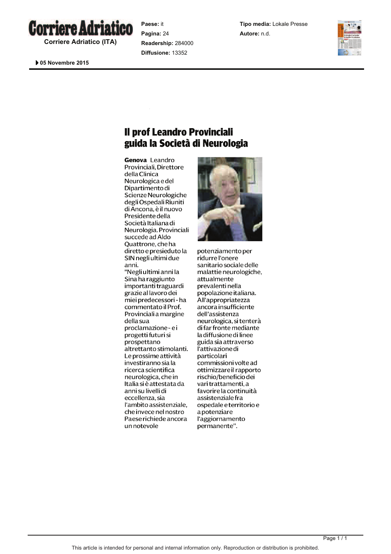

**Corriere Adriatico (ITA)**

 **05 Novembre 2015** 

**Paese:** it **Pagina:** 24 **Readership:** 284000 **Diffusione:** 13352

**Tipo media:** Lokale Presse **Autore:** n.d.



## Il prof Leandro Provinciali guida la Società di Neurologia

Genova Leandro Provinciali, Direttore della Clinica Neurologica e del Dipartimento di Scienze Neurologiche degli Ospedali Riuniti di Ancona, è il nuovo Presidente della Società Italiana di Neurologia. Provinciali succede ad Aldo Ouattrone, che ha diretto e presieduto la SIN negli ultimi due anni. "Negli ultimi anni la Sina ha raggiunto importanti traguardi grazie al lavoro dei miei predecessori - ha commentato il Prof. Provinciali a margine della sua proclamazione-ei progetti futuri si prospettano altrettanto stimolanti. Le prossime attività investiranno sia la ricerca scientifica neurologica, che in Italia si è attestata da anni su livelli di eccellenza, sia l'ambito assistenziale. che invece nel nostro Paese richiede ancora un notevole



potenziamento per ridurre l'onere sanitario sociale delle malattie neurologiche, attualmente prevalenti nella popolazione italiana. All'appropriatezza ancora insufficiente dell'assistenza neurologica, si tenterà di far fronte mediante la diffusione di linee guida sia attraverso l'attivazione di particolari commissioni volte ad ottimizzare il rapporto rischio/beneficio dei vari trattamenti, a favorire la continuità assistenziale fra ospedale e territorio e apotenziare l'aggiornamento permanente".

Page 1 / 1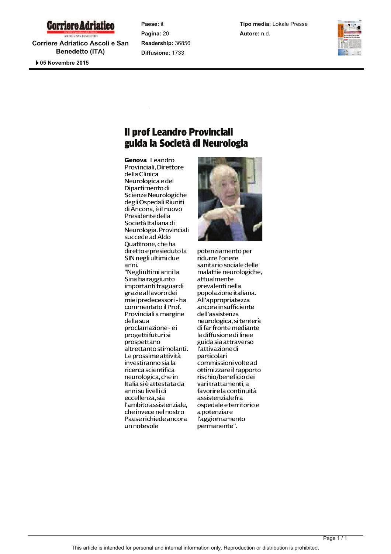# **Corriere Adriatico**

**Corriere Adriatico Ascoli e San Benedetto (ITA)**

 **05 Novembre 2015** 

**Paese:** it **Pagina:** 20 **Readership:** 36856 **Diffusione:** 1733

**Tipo media:** Lokale Presse **Autore:** n.d.



## Il prof Leandro Provinciali guida la Società di Neurologia

Genova Leandro Provinciali, Direttore della Clinica Neurologica e del Dipartimento di Scienze Neurologiche degli Ospedali Riuniti di Ancona, è il nuovo Presidente della Società Italiana di Neurologia. Provinciali succede ad Aldo Ouattrone, che ha diretto e presieduto la SIN negli ultimi due anni. "Negli ultimi anni la Sina ha raggiunto importanti traguardi grazie al lavoro dei miei predecessori - ha commentato il Prof. Provinciali a margine della sua proclamazione-ei progetti futuri si prospettano altrettanto stimolanti. Le prossime attività investiranno sia la ricerca scientifica neurologica, che in Italia si è attestata da anni su livelli di eccellenza, sia l'ambito assistenziale. che invece nel nostro Paese richiede ancora un notevole

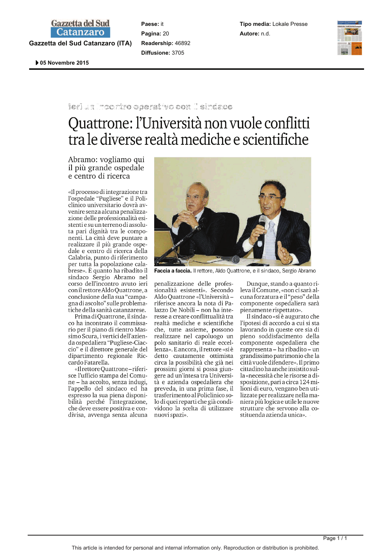### **Gazzetta del Sud Catanzaro**

**Gazzetta del Sud Catanzaro (ITA)**

**Paese:** it **Pagina:** 20 **Readership:** 46892 **Diffusione:** 3705

**Tipo media:** Lokale Presse **Autore:** n.d.



 **05 Novembre 2015** 

#### led so societ aateriva tor leinde

# Quattrone: l'Università non vuole conflitti tra le diverse realtà mediche e scientifiche

Abramo: vogliamo qui il più grande ospedale e centro di ricerca

«Il processo di integrazione tra l'ospedale "Pugliese" e il Policlinico universitario dovrà avvenire senza alcuna penalizzazione delle professionalità esistenti e su un terreno di assoluta pari dignità tra le componenti. La città deve puntare a realizzare il più grande ospedale e centro di ricerca della Calabria, punto di riferimento per tutta la popolazione calabrese». È quanto ha ribadito il sindaco Sergio Abramo nel corso dell'incontro avuto ieri con il rettore Aldo Quattrone, a conclusione della sua "campagna di ascolto" sulle problematiche della sanità catanzarese.

Prima di Ouattrone, il sindaco ha incontrato il commissario per il piano di rientro Massimo Scura, i vertici dell'azienda ospedaliera "Pugliese-Ciaccio" e il direttore generale del dipartimento regionale Riccardo Fatarella.

«Il rettore Quattrone-riferisce l'ufficio stampa del Comune - ha accolto, senza indugi, l'appello del sindaco ed ha espresso la sua piena disponi-<br>bilità perché l'integrazione, che deve essere positiva e condivisa, avvenga senza alcuna



Faccia a faccia. Il rettore, Aldo Quattrone, e il sindaco, Sergio Abramo

penalizzazione delle professionalità esistenti». Secondo Aldo Quattrone «l'Università riferisce ancora la nota di Palazzo De Nobili – non ha interesse a creare conflittualità tra realtà mediche e scientifiche che, tutte assieme, possono realizzare nel capoluogo un polo sanitario di reale eccellenza». E ancora, il rettore «si è detto cautamente ottimista circa la possibilità che già nei prossimi giorni si possa giungere ad un'intesa tra Università e azienda ospedaliera che preveda, in una prima fase, il trasferimento al Policlinico solo di quei reparti che già condividono la scelta di utilizzare nuovi spazi».

Dunque, stando a quanto rileva il Comune, «non ci sarà alcuna forzatura e il "peso" della componente ospedaliera sarà pienamente rispettato».

Il sindaco «si è augurato che l'ipotesi di accordo a cui si sta lavorando in queste ore sia di pieno soddisfacimento della componente ospedaliera che rappresenta – ha ribadito – un grandissimo patrimonio che la città vuole difendere». Il primo cittadino ha anche insistito sulla «necessità che le risorse a disposizione, pari a circa 124 milioni di euro, vengano ben utilizzate per realizzare nella maniera più logica e utile le nuove strutture che servono alla costituenda azienda unica».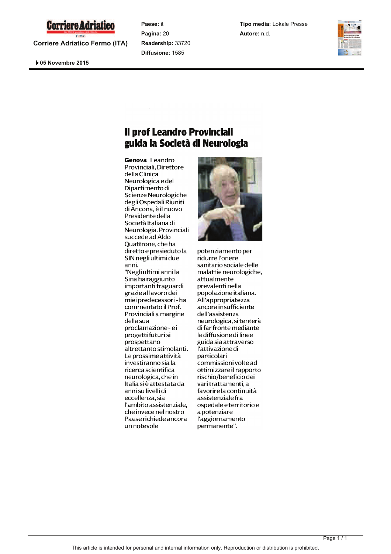

**Corriere Adriatico Fermo (ITA)**

 **05 Novembre 2015** 

**Paese:** it **Pagina:** 20 **Readership:** 33720 **Diffusione:** 1585

**Tipo media:** Lokale Presse **Autore:** n.d.



### Il prof Leandro Provinciali guida la Società di Neurologia

Genova Leandro Provinciali, Direttore della Clinica Neurologica e del Dipartimento di Scienze Neurologiche degli Ospedali Riuniti di Ancona, è il nuovo Presidente della Società Italiana di Neurologia. Provinciali succede ad Aldo Ouattrone, che ha diretto e presieduto la SIN negli ultimi due anni. "Negli ultimi anni la Sina ha raggiunto importanti traguardi grazie al lavoro dei miei predecessori - ha commentato il Prof. Provinciali a margine della sua proclamazione-ei progetti futuri si prospettano altrettanto stimolanti. Le prossime attività investiranno sia la ricerca scientifica neurologica, che in Italia si è attestata da anni su livelli di eccellenza, sia l'ambito assistenziale. che invece nel nostro Paese richiede ancora un notevole

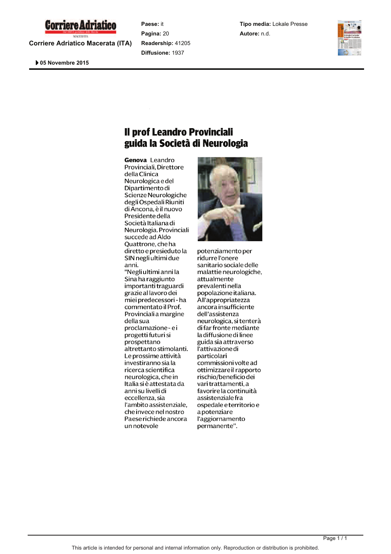

**Corriere Adriatico Macerata (ITA)**

 **05 Novembre 2015** 

**Paese:** it **Pagina:** 20 **Readership:** 41205 **Diffusione:** 1937

**Tipo media:** Lokale Presse **Autore:** n.d.



## Il prof Leandro Provinciali guida la Società di Neurologia

Genova Leandro Provinciali, Direttore della Clinica Neurologica e del Dipartimento di Scienze Neurologiche degli Ospedali Riuniti di Ancona, è il nuovo Presidente della Società Italiana di Neurologia. Provinciali succede ad Aldo Ouattrone, che ha diretto e presieduto la SIN negli ultimi due anni. "Negli ultimi anni la Sina ha raggiunto importanti traguardi grazie al lavoro dei miei predecessori - ha commentato il Prof. Provinciali a margine della sua proclamazione-ei progetti futuri si prospettano altrettanto stimolanti. Le prossime attività investiranno sia la ricerca scientifica neurologica, che in Italia si è attestata da anni su livelli di eccellenza, sia l'ambito assistenziale. che invece nel nostro Paese richiede ancora un notevole